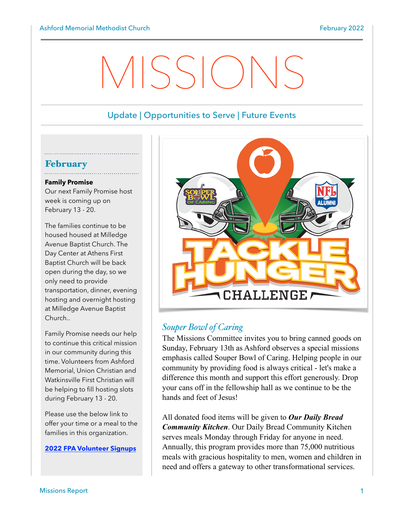# VISSION

# Update | Opportunities to Serve | Future Events

## February

#### **Family Promise**

Our next Family Promise host week is coming up on February 13 - 20.

The families continue to be housed housed at Milledge Avenue Baptist Church. The Day Center at Athens First Baptist Church will be back open during the day, so we only need to provide transportation, dinner, evening hosting and overnight hosting at Milledge Avenue Baptist Church..

Family Promise needs our help to continue this critical mission in our community during this time. Volunteers from Ashford Memorial, Union Christian and Watkinsville First Christian will be helping to fill hosting slots during February 13 - 20.

Please use the below link to offer your time or a meal to the families in this organization.

**[2022 FPA Volunteer Signups](https://www.signupgenius.com/go/4090f4ca5aa29a4fe3-2022)**



## *Souper Bowl of Caring*

The Missions Committee invites you to bring canned goods on Sunday, February 13th as Ashford observes a special missions emphasis called Souper Bowl of Caring. Helping people in our community by providing food is always critical - let's make a difference this month and support this effort generously. Drop your cans off in the fellowship hall as we continue to be the hands and feet of Jesus!

All donated food items will be given to *Our Daily Bread Community Kitchen*. Our Daily Bread Community Kitchen serves meals Monday through Friday for anyone in need. Annually, this program provides more than 75,000 nutritious meals with gracious hospitality to men, women and children in need and offers a gateway to other transformational services.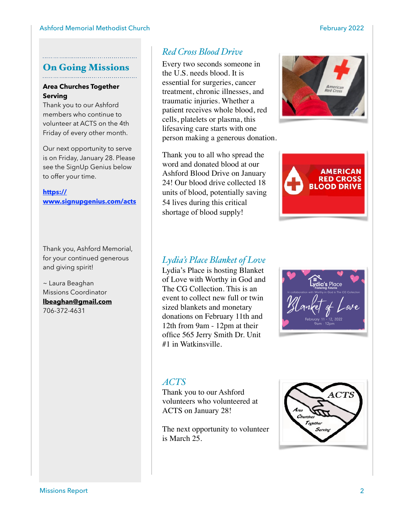#### On Going Missions

#### **Area Churches Together Serving**

Thank you to our Ashford members who continue to volunteer at ACTS on the 4th Friday of every other month.

Our next opportunity to serve is on Friday, January 28. Please see the SignUp Genius below to offer your time.

**[https://](https://www.signupgenius.com/go/10c0a4ba5af2ca6fc1-area6) [www.signupgenius.com/acts](https://www.signupgenius.com/go/10c0a4ba5af2ca6fc1-area6)**

Thank you, Ashford Memorial, for your continued generous and giving spirit!

~ Laura Beaghan Missions Coordinator **[lbeaghan@gmail.com](mailto:lbeaghan@gmail.com)** 706-372-4631

# *Red Cross Blood Drive*

Every two seconds someone in the U.S. needs blood. It is essential for surgeries, cancer treatment, chronic illnesses, and traumatic injuries. Whether a patient receives whole blood, red cells, platelets or plasma, this lifesaving care starts with one person making a generous donation.

Thank you to all who spread the word and donated blood at our Ashford Blood Drive on January 24! Our blood drive collected 18 units of blood, potentially saving 54 lives during this critical shortage of blood supply!



**MERICAN RED CROSS OOD DRIVE** 

## *Lydia's Place Blanket of Love*

Lydia's Place is hosting Blanket of Love with Worthy in God and The CG Collection. This is an event to collect new full or twin sized blankets and monetary donations on February 11th and 12th from 9am - 12pm at their office 565 Jerry Smith Dr. Unit #1 in Watkinsville.



## *ACTS*

Thank you to our Ashford volunteers who volunteered at ACTS on January 28!

The next opportunity to volunteer is March 25.

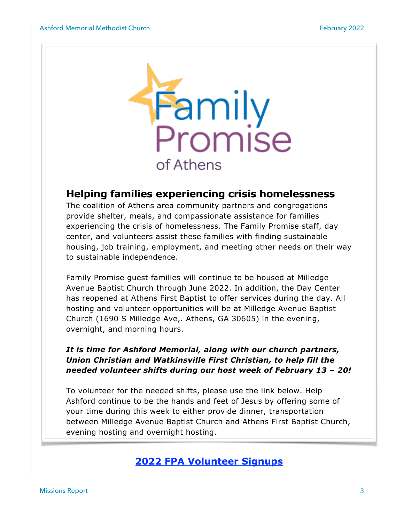

# **Helping families experiencing crisis homelessness**

The coalition of Athens area community partners and congregations provide shelter, meals, and compassionate assistance for families experiencing the crisis of homelessness. The Family Promise staff, day center, and volunteers assist these families with finding sustainable housing, job training, employment, and meeting other needs on their way to sustainable independence.

Family Promise guest families will continue to be housed at Milledge Avenue Baptist Church through June 2022. In addition, the Day Center has reopened at Athens First Baptist to offer services during the day. All hosting and volunteer opportunities will be at Milledge Avenue Baptist Church (1690 S Milledge Ave,. Athens, GA 30605) in the evening, overnight, and morning hours.

## *It is time for Ashford Memorial, along with our church partners, Union Christian and Watkinsville First Christian, to help fill the needed volunteer shifts during our host week of February 13 – 20!*

To volunteer for the needed shifts, please use the link below. Help Ashford continue to be the hands and feet of Jesus by offering some of your time during this week to either provide dinner, transportation between Milledge Avenue Baptist Church and Athens First Baptist Church, evening hosting and overnight hosting.

# **[2022 FPA Volunteer Signups](https://www.signupgenius.com/go/4090f4ca5aa29a4fe3-2022)**